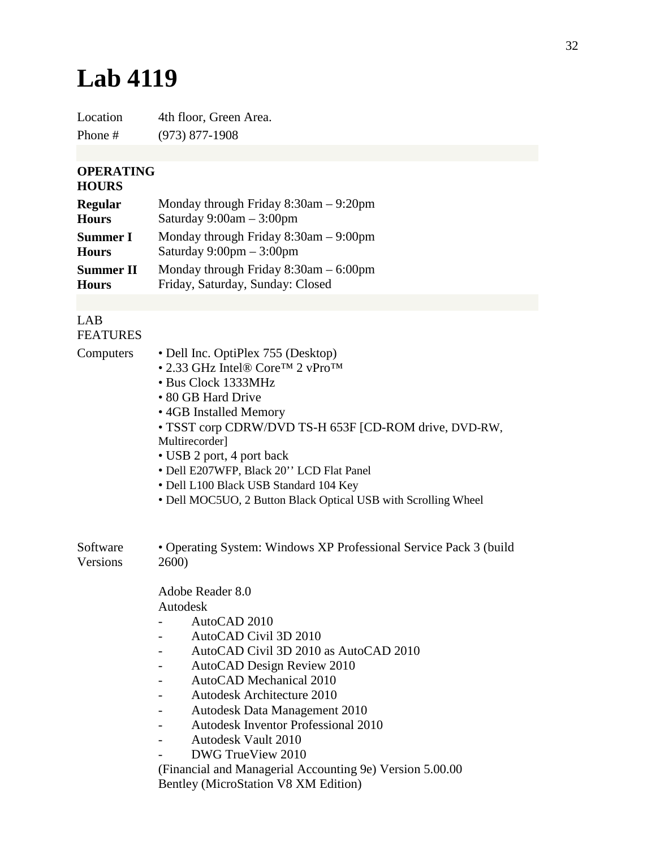## **Lab 4119**

Location 4th floor, Green Area. Phone # (973) 877-1908

## **OPERATING**

## **HOURS**

| <b>Regular</b>   | Monday through Friday $8:30$ am $-9:20$ pm |
|------------------|--------------------------------------------|
| <b>Hours</b>     | Saturday $9:00am - 3:00pm$                 |
| <b>Summer I</b>  | Monday through Friday $8:30$ am $-9:00$ pm |
| <b>Hours</b>     | Saturday $9:00 \text{pm} - 3:00 \text{pm}$ |
| <b>Summer II</b> | Monday through Friday $8:30$ am $-6:00$ pm |
| <b>Hours</b>     | Friday, Saturday, Sunday: Closed           |

## LAB FEATURES

| Computers            | • Dell Inc. OptiPlex 755 (Desktop)<br>• 2.33 GHz Intel® Core <sup>TM</sup> 2 vPro <sup>TM</sup><br>• Bus Clock 1333MHz<br>• 80 GB Hard Drive<br>• 4GB Installed Memory<br>• TSST corp CDRW/DVD TS-H 653F [CD-ROM drive, DVD-RW,<br>Multirecorder]<br>• USB 2 port, 4 port back<br>· Dell E207WFP, Black 20" LCD Flat Panel<br>• Dell L100 Black USB Standard 104 Key<br>• Dell MOC5UO, 2 Button Black Optical USB with Scrolling Wheel        |  |
|----------------------|-----------------------------------------------------------------------------------------------------------------------------------------------------------------------------------------------------------------------------------------------------------------------------------------------------------------------------------------------------------------------------------------------------------------------------------------------|--|
| Software<br>Versions | • Operating System: Windows XP Professional Service Pack 3 (build<br>2600)                                                                                                                                                                                                                                                                                                                                                                    |  |
|                      | Adobe Reader 8.0<br>Autodesk<br>AutoCAD 2010<br>AutoCAD Civil 3D 2010<br>AutoCAD Civil 3D 2010 as AutoCAD 2010<br>AutoCAD Design Review 2010<br><b>AutoCAD</b> Mechanical 2010<br><b>Autodesk Architecture 2010</b><br>Autodesk Data Management 2010<br><b>Autodesk Inventor Professional 2010</b><br><b>Autodesk Vault 2010</b><br>$\overline{\phantom{0}}$<br>DWG TrueView 2010<br>(Financial and Managerial Accounting 9e) Version 5.00.00 |  |
|                      | Bentley (MicroStation V8 XM Edition)                                                                                                                                                                                                                                                                                                                                                                                                          |  |